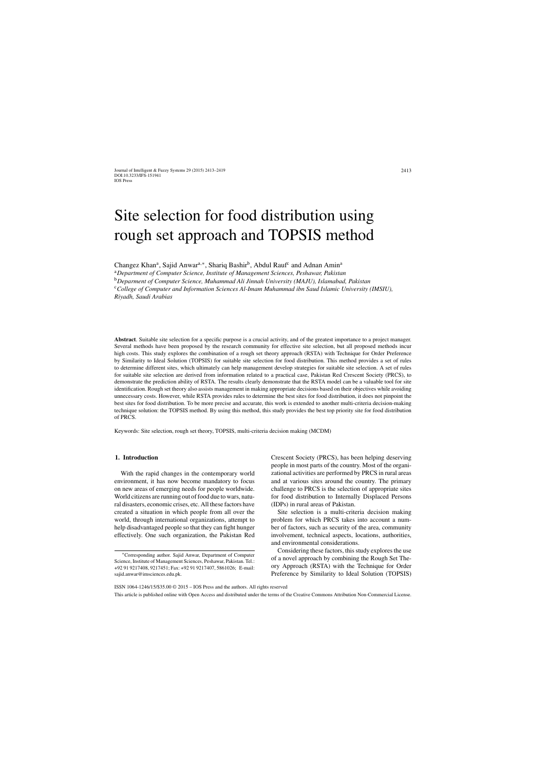# Site selection for food distribution using rough set approach and TOPSIS method

Changez Khan<sup>a</sup>, Sajid Anwar<sup>a,∗</sup>, Shariq Bashir<sup>b</sup>, Abdul Rauf<sup>c</sup> and Adnan Amin<sup>a</sup>

<sup>a</sup>*Department of Computer Science, Institute of Management Sciences, Peshawar, Pakistan* <sup>b</sup>*Deparment of Computer Science, Muhammad Ali Jinnah University (MAJU), Islamabad, Pakistan* <sup>c</sup>*College of Computer and Information Sciences Al-Imam Muhammad ibn Saud Islamic University (IMSIU), Riyadh, Saudi Arabias*

**Abstract**. Suitable site selection for a specific purpose is a crucial activity, and of the greatest importance to a project manager. Several methods have been proposed by the research community for effective site selection, but all proposed methods incur high costs. This study explores the combination of a rough set theory approach (RSTA) with Technique for Order Preference by Similarity to Ideal Solution (TOPSIS) for suitable site selection for food distribution. This method provides a set of rules to determine different sites, which ultimately can help management develop strategies for suitable site selection. A set of rules for suitable site selection are derived from information related to a practical case, Pakistan Red Crescent Society (PRCS), to demonstrate the prediction ability of RSTA. The results clearly demonstrate that the RSTA model can be a valuable tool for site identification. Rough set theory also assists management in making appropriate decisions based on their objectives while avoiding unnecessary costs. However, while RSTA provides rules to determine the best sites for food distribution, it does not pinpoint the best sites for food distribution. To be more precise and accurate, this work is extended to another multi-criteria decision-making technique solution: the TOPSIS method. By using this method, this study provides the best top priority site for food distribution of PRCS.

Keywords: Site selection, rough set theory, TOPSIS, multi-criteria decision making (MCDM)

## **1. Introduction**

With the rapid changes in the contemporary world environment, it has now become mandatory to focus on new areas of emerging needs for people worldwide. World citizens are running out of food due to wars, natural disasters, economic crises, etc. All these factors have created a situation in which people from all over the world, through international organizations, attempt to help disadvantaged people so that they can fight hunger effectively. One such organization, the Pakistan Red Crescent Society (PRCS), has been helping deserving people in most parts of the country. Most of the organizational activities are performed by PRCS in rural areas and at various sites around the country. The primary challenge to PRCS is the selection of appropriate sites for food distribution to Internally Displaced Persons (IDPs) in rural areas of Pakistan.

Site selection is a multi-criteria decision making problem for which PRCS takes into account a number of factors, such as security of the area, community involvement, technical aspects, locations, authorities, and environmental considerations.

Considering these factors, this study explores the use of a novel approach by combining the Rough Set Theory Approach (RSTA) with the Technique for Order Preference by Similarity to Ideal Solution (TOPSIS)

## ISSN 1064-1246/15/\$35.00 © 2015 – IOS Press and the authors. All rights reserved

This article is published online with Open Access and distributed under the terms of the Creative Commons Attribution Non-Commercial License.

<sup>∗</sup>Corresponding author. Sajid Anwar, Department of Computer Science, Institute of Management Sciences, Peshawar, Pakistan. Tel.: +92 91 9217408, 9217451; Fax: +92 91 9217407, 5861026; E-mail: [sajid.anwar@imsciences.edu.pk](mailto:sajid.anwar@imsciences.edu.pk).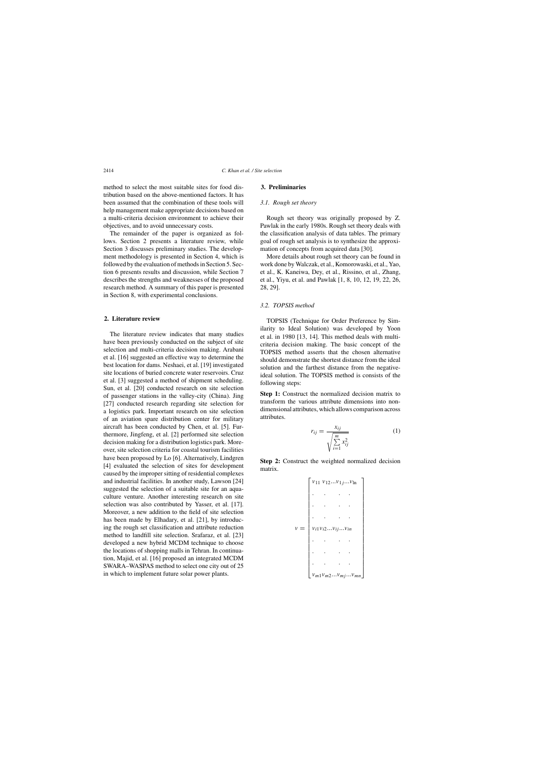method to select the most suitable sites for food distribution based on the above-mentioned factors. It has been assumed that the combination of these tools will help management make appropriate decisions based on a multi-criteria decision environment to achieve their objectives, and to avoid unnecessary costs.

The remainder of the paper is organized as follows. Section 2 presents a literature review, while Section 3 discusses preliminary studies. The development methodology is presented in Section 4, which is followed by the evaluation of methods in Section 5. Section 6 presents results and discussion, while Section 7 describes the strengths and weaknesses of the proposed research method. A summary of this paper is presented in Section 8, with experimental conclusions.

## **2. Literature review**

The literature review indicates that many studies have been previously conducted on the subject of site selection and multi-criteria decision making. Arabani et al. [16] suggested an effective way to determine the best location for dams. Neshaei, et al. [19] investigated site locations of buried concrete water reservoirs. Cruz et al. [3] suggested a method of shipment scheduling. Sun, et al. [20] conducted research on site selection of passenger stations in the valley-city (China). Jing [27] conducted research regarding site selection for a logistics park. Important research on site selection of an aviation spare distribution center for military aircraft has been conducted by Chen, et al. [5]. Furthermore, Jingfeng, et al. [2] performed site selection decision making for a distribution logistics park. Moreover, site selection criteria for coastal tourism facilities have been proposed by Lo [6]. Alternatively, Lindgren [4] evaluated the selection of sites for development caused by the improper sitting of residential complexes and industrial facilities. In another study, Lawson [24] suggested the selection of a suitable site for an aquaculture venture. Another interesting research on site selection was also contributed by Yasser, et al. [17]. Moreover, a new addition to the field of site selection has been made by Elhadary, et al. [21], by introducing the rough set classification and attribute reduction method to landfill site selection. Srafaraz, et al. [23] developed a new hybrid MCDM technique to choose the locations of shopping malls in Tehran. In continuation, Majid, et al. [16] proposed an integrated MCDM SWARA–WASPAS method to select one city out of 25 in which to implement future solar power plants.

## **3. Preliminaries**

#### *3.1. Rough set theory*

Rough set theory was originally proposed by Z. Pawlak in the early 1980s. Rough set theory deals with the classification analysis of data tables. The primary goal of rough set analysis is to synthesize the approximation of concepts from acquired data [30].

More details about rough set theory can be found in work done by Walczak, et al., Komorowaski, et al., Yao, et al., K. Kaneiwa, Dey, et al., Rissino, et al., Zhang, et al., Yiyu, et al. and Pawlak [1, 8, 10, 12, 19, 22, 26, 28, 29].

# *3.2. TOPSIS method*

TOPSIS (Technique for Order Preference by Similarity to Ideal Solution) was developed by Yoon et al. in 1980 [13, 14]. This method deals with multicriteria decision making. The basic concept of the TOPSIS method asserts that the chosen alternative should demonstrate the shortest distance from the ideal solution and the farthest distance from the negativeideal solution. The TOPSIS method is consists of the following steps:

**Step 1:** Construct the normalized decision matrix to transform the various attribute dimensions into nondimensional attributes, which allows comparison across attributes.

$$
r_{ij} = \frac{x_{ij}}{\sqrt{\sum_{i=1}^{m} x_{ij}^2}}
$$
 (1)

**Step 2:** Construct the weighted normalized decision matrix.

> $v =$  $\sqrt{ }$  $\overline{\phantom{a}}$  $\overline{\phantom{a}}$  $\overline{\phantom{a}}$  $\overline{\phantom{a}}$  $\overline{\phantom{a}}$  $\overline{\phantom{a}}$  $\overline{\phantom{a}}$  $\overline{\phantom{a}}$  $\bigg\{\n\begin{matrix}\nv_{i1}v_{i2}...v_{ij}...v_{in}\n\end{matrix}\n\bigg\}$  $\overline{\phantom{a}}$  $\overline{\phantom{a}}$  $\overline{\phantom{a}}$  $\overline{\phantom{a}}$  $\overline{\phantom{a}}$  $\overline{\phantom{a}}$  $\overline{\phantom{a}}$  $\overline{\phantom{a}}$  $\overline{\phantom{a}}$  $\overline{\phantom{a}}$ *v*<sup>11</sup> *v*12...*v*1j...*v*ln . . .. . . .. . . .. . . .. . . .. . . ..  $v_{m1}v_{m2}...v_{mi}...v_{mn}$ ⎤  $\overline{a}$  $\overline{a}$  $\overline{a}$  $\overline{a}$  $\overline{a}$  $\overline{a}$  $\overline{a}$  $\overline{\phantom{a}}$  $\overline{a}$  $\overline{a}$  $\overline{a}$  $\overline{a}$  $\overline{a}$  $\overline{a}$  $\overline{a}$  $\overline{a}$  $\overline{a}$  $\overline{a}$  $\overline{a}$  $\overline{a}$  $\overline{a}$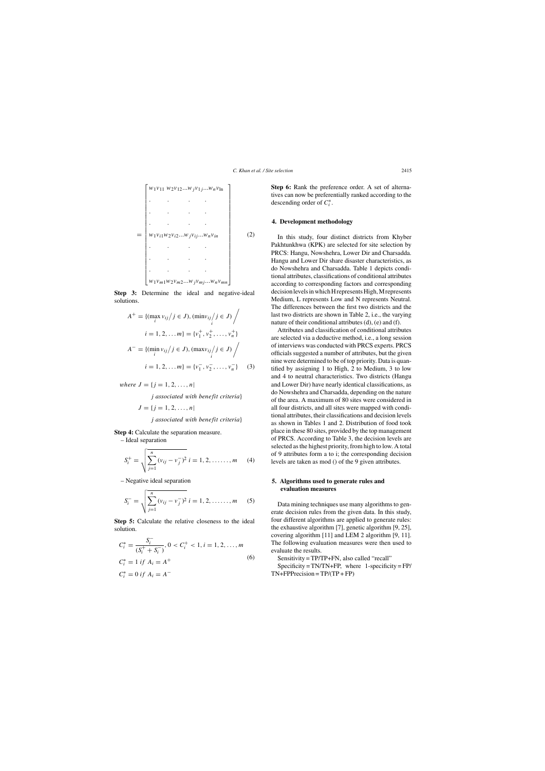

**Step 3:** Determine the ideal and negative-ideal solutions.

$$
A^{+} = \{ (\max_{i} v_{ij} / j \in J), (\min_{i} v_{ij} / j \in J) / i = 1, 2, ..., m \} = \{v_{1}^{+}, v_{2}^{+}, ..., v_{n}^{+}\}
$$

$$
A^{-} = \{ (\min_{i} v_{ij} / j \in J), (\max_{i} v_{ij} / j \in J) / i = 1, 2, ..., m \} = \{v_{1}^{-}, v_{2}^{-}, ..., v_{n}^{-}\}
$$
(3)

where 
$$
J = \{j = 1, 2, ..., n\}
$$
  
\n*j* associated with benefit criteria}  
\n $J = \{j = 1, 2, ..., n\}$   
\n*j* associated with benefit criteria}

**Step 4:** Calculate the separation measure.

– Ideal separation

$$
S_i^+ = \sqrt{\sum_{j=1}^n (v_{ij} - v_j^-)^2} \ i = 1, 2, \dots, m \tag{4}
$$

– Negative ideal separation

$$
S_i^- = \sqrt{\sum_{j=1}^n (v_{ij} - v_j^-)^2} \ i = 1, 2, \dots, m \quad (5)
$$

**Step 5:** Calculate the relative closeness to the ideal solution.

$$
C_i^* = \frac{S_i^-}{(S_i^+ + S_i^-)}, 0 < C_i^+ < 1, i = 1, 2, \dots, m
$$
\n
$$
C_i^* = 1 \text{ if } A_i = A^+
$$
\n
$$
C_i^* = 0 \text{ if } A_i = A^-
$$
\n
$$
(6)
$$

**Step 6:** Rank the preference order. A set of alternatives can now be preferentially ranked according to the descending order of  $C_i^*$ .

## **4. Development methodology**

In this study, four distinct districts from Khyber Pakhtunkhwa (KPK) are selected for site selection by PRCS: Hangu, Nowshehra, Lower Dir and Charsadda. Hangu and Lower Dir share disaster characteristics, as do Nowshehra and Charsadda. Table 1 depicts conditional attributes, classifications of conditional attributes according to corresponding factors and corresponding decision levels in which H represents High, M represents Medium, L represents Low and N represents Neutral. The differences between the first two districts and the last two districts are shown in Table 2, i.e., the varying nature of their conditional attributes (d), (e) and (f).

Attributes and classification of conditional attributes are selected via a deductive method, i.e., a long session of interviews was conducted with PRCS experts. PRCS officials suggested a number of attributes, but the given nine were determined to be of top priority. Data is quantified by assigning 1 to High, 2 to Medium, 3 to low and 4 to neutral characteristics. Two districts (Hangu and Lower Dir) have nearly identical classifications, as do Nowshehra and Charsadda, depending on the nature of the area. A maximum of 80 sites were considered in all four districts, and all sites were mapped with conditional attributes, their classifications and decision levels as shown in Tables 1 and 2. Distribution of food took place in these 80 sites, provided by the top management of PRCS. According to Table 3, the decision levels are selected as the highest priority, from high to low. A total of 9 attributes form a to i; the corresponding decision levels are taken as mod () of the 9 given attributes.

# **5. Algorithms used to generate rules and evaluation measures**

Data mining techniques use many algorithms to generate decision rules from the given data. In this study, four different algorithms are applied to generate rules: the exhaustive algorithm [7], genetic algorithm [9, 25], covering algorithm [11] and LEM 2 algorithm [9, 11]. The following evaluation measures were then used to evaluate the results.

Sensitivity = TP/TP+FN, also called "recall"

 $Specificity = TN/TN + FP$ , where 1-specificity = FP/  $TN+FPPrecision = TP/(TP + FP)$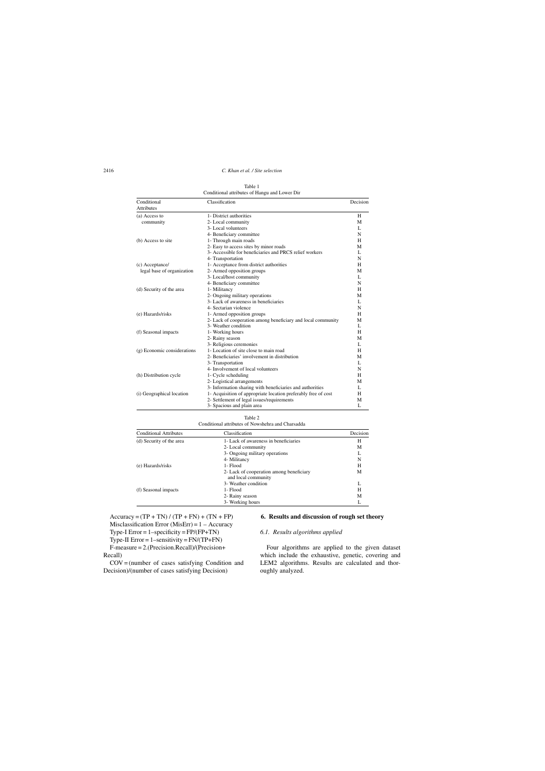|                                               | Table 1 |  |
|-----------------------------------------------|---------|--|
| Conditional attributes of Hangu and Lower Dir |         |  |

| Conditional                 | Classification                                                 | Decision    |
|-----------------------------|----------------------------------------------------------------|-------------|
| <b>Attributes</b>           |                                                                |             |
| (a) Access to               | 1- District authorities                                        | H           |
| community                   | 2- Local community                                             | M           |
|                             | 3- Local volunteers                                            | L           |
|                             | 4- Beneficiary committee                                       | N           |
| (b) Access to site          | 1- Through main roads                                          | H           |
|                             | 2- Easy to access sites by minor roads                         | М           |
|                             | 3- Accessible for beneficiaries and PRCS relief workers        | L           |
|                             | 4- Transportation                                              | N           |
| (c) Acceptance/             | 1- Acceptance from district authorities                        | H           |
| legal base of organization  | 2- Armed opposition groups                                     | M           |
|                             | 3- Local/host community                                        | L           |
|                             | 4- Beneficiary committee                                       | $\mathbf N$ |
| (d) Security of the area    | 1- Militancy                                                   | H           |
|                             | 2- Ongoing military operations                                 | M           |
|                             | 3- Lack of awareness in beneficiaries                          | L           |
|                             | 4- Sectarian violence                                          | N           |
| (e) Hazards/risks           | 1- Armed opposition groups                                     | H           |
|                             | 2- Lack of cooperation among beneficiary and local community   | М           |
|                             | 3- Weather condition                                           | L           |
| (f) Seasonal impacts        | 1- Working hours                                               | H           |
|                             | 2- Rainy season                                                | M           |
|                             | 3- Religious ceremonies                                        | L           |
| (g) Economic considerations | 1- Location of site close to main road                         | H           |
|                             | 2- Beneficiaries' involvement in distribution                  | M           |
|                             | 3- Transportation                                              | L           |
|                             | 4- Involvement of local volunteers                             | $\mathbf N$ |
| (h) Distribution cycle      | 1- Cycle scheduling                                            | H           |
|                             | 2- Logistical arrangements                                     | M           |
|                             | 3- Information sharing with beneficiaries and authorities      | L           |
| (i) Geographical location   | 1- Acquisition of appropriate location preferably free of cost | H           |
|                             | 2- Settlement of legal issues/requirements                     | M           |
|                             | 3- Spacious and plain area                                     | L           |

Table 2

Conditional attributes of Nowshehra and Charsadda

| <b>Conditional Attributes</b> | Classification                                                  | Decision |
|-------------------------------|-----------------------------------------------------------------|----------|
| (d) Security of the area      | 1- Lack of awareness in beneficiaries                           | Н        |
|                               | 2- Local community                                              | M        |
|                               | 3- Ongoing military operations                                  |          |
|                               | 4- Militancy                                                    | N        |
| (e) Hazards/risks             | 1- Flood                                                        | Н        |
|                               | 2- Lack of cooperation among beneficiary<br>and local community | M        |
|                               | 3- Weather condition                                            |          |
| (f) Seasonal impacts          | 1- Flood                                                        | Н        |
|                               | 2- Rainy season                                                 | M        |
|                               | 3- Working hours                                                |          |

 $Accuracy = (TP + TN) / (TP + FN) + (TN + FP)$ Misclassification Error (MisErr) =  $1 -$  Accuracy Type-I Error =  $1$ -specificity = FP/(FP+TN) Type-II Error =  $1$ -sensitivity =  $FN/(TP+FN)$ F-measure = 2.(Precision.Recall)/(Precision+ Recall)

COV = (number of cases satisfying Condition and Decision)/(number of cases satisfying Decision)

# **6. Results and discussion of rough set theory**

# *6.1. Results algorithms applied*

Four algorithms are applied to the given dataset which include the exhaustive, genetic, covering and LEM2 algorithms. Results are calculated and thoroughly analyzed.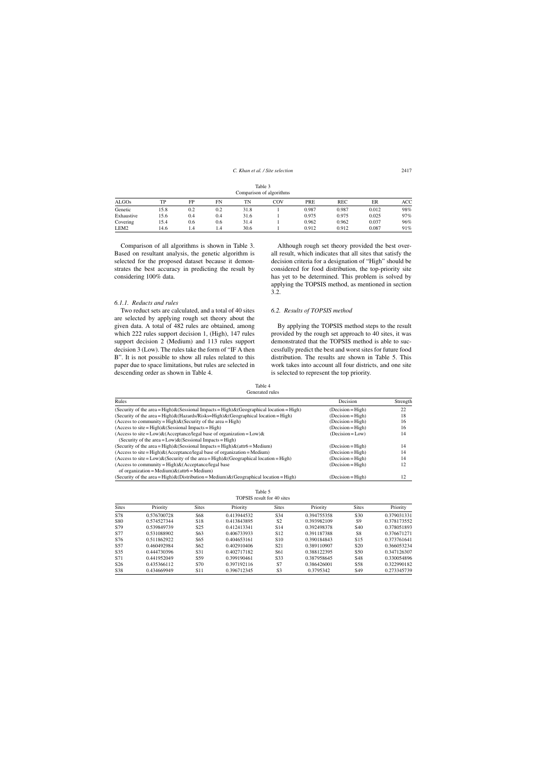Table 3

| Comparison of algorithms |       |      |     |      |     |       |            |       |     |
|--------------------------|-------|------|-----|------|-----|-------|------------|-------|-----|
| <b>ALGOs</b>             | TP    | FP   | FN  | TN   | COV | PRE   | <b>REC</b> | ER    | ACC |
| Genetic                  | l 5.8 | 0.2  | 0.2 | 31.8 |     | 0.987 | 0.987      | 0.012 | 98% |
| Exhaustive               | l 5.6 | 0.4  | 0.4 | 31.6 |     | 0.975 | 0.975      | 0.025 | 97% |
| Covering                 | 15.4  | 0.6  | 0.6 | 31.4 |     | 0.962 | 0.962      | 0.037 | 96% |
| LEM2                     | 14.6  | 4. ا | 1.4 | 30.6 |     | 0.912 | 0.912      | 0.087 | 91% |

Comparison of all algorithms is shown in Table 3. Based on resultant analysis, the genetic algorithm is selected for the proposed dataset because it demonstrates the best accuracy in predicting the result by considering 100% data.

## *6.1.1. Reducts and rules*

Two reduct sets are calculated, and a total of 40 sites are selected by applying rough set theory about the given data. A total of 482 rules are obtained, among which 222 rules support decision 1, (High), 147 rules support decision 2 (Medium) and 113 rules support decision 3 (Low). The rules take the form of "IF A then B". It is not possible to show all rules related to this paper due to space limitations, but rules are selected in descending order as shown in Table 4.

Although rough set theory provided the best overall result, which indicates that all sites that satisfy the decision criteria for a designation of "High" should be considered for food distribution, the top-priority site has yet to be determined. This problem is solved by applying the TOPSIS method, as mentioned in section 3.2.

#### *6.2. Results of TOPSIS method*

By applying the TOPSIS method steps to the result provided by the rough set approach to 40 sites, it was demonstrated that the TOPSIS method is able to successfully predict the best and worst sites for future food distribution. The results are shown in Table 5. This work takes into account all four districts, and one site is selected to represent the top priority.

| Table 4         |  |  |  |  |
|-----------------|--|--|--|--|
| Generated rules |  |  |  |  |

| Rules                                                                                                   | Decision            | Strength |
|---------------------------------------------------------------------------------------------------------|---------------------|----------|
| (Security of the area = High) & (Sessional Impacts = High) & (Geographical location = High)             | $(Decision = High)$ | 22       |
| (Security of the area = High) & (Hazards/Risks = High) & (Geographical location = High)                 | $(Decision = High)$ | 18       |
| (Access to community = High) & (Security of the area = High)                                            | $(Decision=High)$   | 16       |
| $(Access to site = High) & (Sessional Impacts = High)$                                                  | $(Decision=High)$   | 16       |
| (Access to site = Low)&(Acceptance/legal base of organization = Low)&                                   | $(Decision = Low)$  | 14       |
| (Security of the area = Low)&(Sessional Impacts = High)                                                 |                     |          |
| (Security of the area = High)&(Sessional Impacts = High)&(attr6 = Medium)                               | $(Decision=High)$   | 14       |
| $(\text{Access to site} = \text{High})\&(\text{Acceptance/legal base of organization} = \text{Median})$ | $(Decision=High)$   | 14       |
| (Access to site = Low) & (Security of the area = High) & (Geographical location = High)                 | $(Decision = High)$ | 14       |
| (Access to community = High) $\&$ (Acceptance/legal base)                                               | $(Decision=High)$   | 12       |
| of organization = Medium $\&$ (attr $6$ = Medium)                                                       |                     |          |
| (Security of the area = High) & (Distribution = Medium) & (Geographical location = High)                | $(Decision = High)$ | 12       |

| Table 5                    |
|----------------------------|
| TOPSIS result for 40 sites |

| <b>Sites</b>    | Priority    | <b>Sites</b>    | Priority    | <b>Sites</b>    | Priority    | <b>Sites</b>    | Priority    |
|-----------------|-------------|-----------------|-------------|-----------------|-------------|-----------------|-------------|
| S78             | 0.576700728 | S68             | 0.413944532 | S34             | 0.394755358 | S <sub>30</sub> | 0.379031331 |
| <b>S80</b>      | 0.574527344 | S <sub>18</sub> | 0.413843895 | S <sub>2</sub>  | 0.393982109 | S9              | 0.378173552 |
| S79             | 0.539849739 | S <sub>25</sub> | 0.412413341 | S <sub>14</sub> | 0.392498378 | S <sub>40</sub> | 0.378051893 |
| S77             | 0.531088902 | S <sub>63</sub> | 0.406733933 | S <sub>12</sub> | 0.391187388 | S <sub>8</sub>  | 0.376671271 |
| S76             | 0.511862922 | S65             | 0.404653161 | S <sub>10</sub> | 0.390184843 | S <sub>15</sub> | 0.373761641 |
| S <sub>57</sub> | 0.460492984 | S <sub>62</sub> | 0.402910406 | S <sub>21</sub> | 0.389110907 | S <sub>20</sub> | 0.366053234 |
| S <sub>35</sub> | 0.444730396 | S31             | 0.402717182 | S61             | 0.388122395 | S <sub>50</sub> | 0.347126307 |
| S71             | 0.441952049 | S <sub>59</sub> | 0.399190461 | S33             | 0.387958645 | S48             | 0.330054896 |
| S <sub>26</sub> | 0.435366112 | S70             | 0.397192116 | S7              | 0.386426001 | S <sub>58</sub> | 0.322990182 |
| S38             | 0.434669949 | S <sub>11</sub> | 0.396712345 | S <sub>3</sub>  | 0.3795342   | S <sub>49</sub> | 0.273345739 |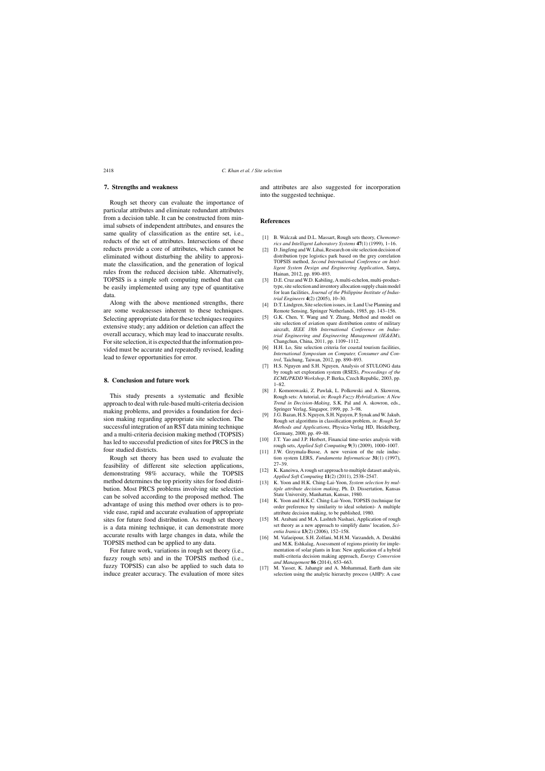## **7. Strengths and weakness**

Rough set theory can evaluate the importance of particular attributes and eliminate redundant attributes from a decision table. It can be constructed from minimal subsets of independent attributes, and ensures the same quality of classification as the entire set, i.e., reducts of the set of attributes. Intersections of these reducts provide a core of attributes, which cannot be eliminated without disturbing the ability to approximate the classification, and the generation of logical rules from the reduced decision table. Alternatively, TOPSIS is a simple soft computing method that can be easily implemented using any type of quantitative data.

Along with the above mentioned strengths, there are some weaknesses inherent to these techniques. Selecting appropriate data for these techniques requires extensive study; any addition or deletion can affect the overall accuracy, which may lead to inaccurate results. For site selection, it is expected that the information provided must be accurate and repeatedly revised, leading lead to fewer opportunities for error.

#### **8. Conclusion and future work**

This study presents a systematic and flexible approach to deal with rule-based multi-criteria decision making problems, and provides a foundation for decision making regarding appropriate site selection. The successful integration of an RST data mining technique and a multi-criteria decision making method (TOPSIS) has led to successful prediction of sites for PRCS in the four studied districts.

Rough set theory has been used to evaluate the feasibility of different site selection applications, demonstrating 98% accuracy, while the TOPSIS method determines the top priority sites for food distribution. Most PRCS problems involving site selection can be solved according to the proposed method. The advantage of using this method over others is to provide ease, rapid and accurate evaluation of appropriate sites for future food distribution. As rough set theory is a data mining technique, it can demonstrate more accurate results with large changes in data, while the TOPSIS method can be applied to any data.

For future work, variations in rough set theory (i.e., fuzzy rough sets) and in the TOPSIS method (i.e., fuzzy TOPSIS) can also be applied to such data to induce greater accuracy. The evaluation of more sites and attributes are also suggested for incorporation into the suggested technique.

#### **References**

- [1] B. Walczak and D.L. Massart, Rough sets theory, *Chemometrics and Intelligent Laboratory Systems* **47**(1) (1999), 1–16.
- [2] D. Jingfeng and W. Lihai, Research on site selection decision of distribution type logistics park based on the grey correlation TOPSIS method, *Second International Conference on Intelligent System Design and Engineering Application*, Sanya, Hainan, 2012, pp. 890–893.
- [3] D.E. Cruz and W.D. Kabiling, A multi-echelon, multi-producttype, site selection and inventory allocation supply chain model for lean facilities, *Journal of the Philippine Institute of Industrial Engineers* **4**(2) (2005), 10–30.
- [4] D.T. Lindgren, Site selection issues, in: Land Use Planning and Remote Sensing, Springer Netherlands, 1985, pp. 143–156.
- [5] G.K. Chen, Y. Wang and Y. Zhang, Method and model on site selection of aviation spare distribution centre of military aircraft, *IEEE 18th International Conference on Industrial Engineering and Engineering Management (IE&EM)*, Changchun, China, 2011, pp. 1109–1112.
- [6] H.H. Lo, Site selection criteria for coastal tourism facilities, *International Symposium on Computer, Consumer and Control*, Taichung, Taiwan, 2012, pp. 890–893.
- [7] H.S. Nguyen and S.H. Nguyen, Analysis of STULONG data by rough set exploration system (RSES), *Proceedings of the ECML/PKDD Workshop*, P. Berka, Czech Republic, 2003, pp. 1–82.
- [8] J. Komorowaski, Z. Pawlak, L. Polkowski and A. Skowron, Rough sets: A tutorial, *in: Rough Fuzzy Hybridization: A New Trend in Decision-Making*, S.K. Pal and A. skowron, eds., Springer Verlag, Singapor, 1999, pp. 3–98.
- [9] J.G. Bazan, H.S. Nguyen, S.H. Nguyen, P. Synak and W. Jakub, Rough set algorithms in classification problem, *in: Rough Set Methods and Applications*, Physica-Verlag HD, Heidelberg, Germany, 2000, pp. 49–88.
- [10] J.T. Yao and J.P. Herbert, Financial time-series analysis with rough sets, *Applied Soft Computing* **9**(3) (2009), 1000–1007.
- [11] J.W. Grzymala-Busse, A new version of the rule induction system LERS, *Fundamenta Informaticae* **31**(1) (1997), 27–39.
- [12] K. Kaneiwa, A rough set approach to multiple dataset analysis, *Applied Soft Computing* **11**(2) (2011), 2538–2547.
- [13] K. Yoon and H.K. Ching-Lai-Yoon, *System selection by multiple attribute decision making*, Ph. D. Dissertation, Kansas State University, Manhattan, Kansas, 1980.
- [14] K. Yoon and H.K.C. Ching-Lai-Yoon, TOPSIS (technique for order preference by similarity to ideal solution)- A multiple attribute decision making, to be published, 1980.
- [15] M. Arabani and M.A. Lashteh Nashaei, Application of rough set theory as a new approach to simplify dams' location, *Scientia Iranica* **13**(2) (2006), 152–158.
- [16] M. Vafaeipour, S.H. Zolfani, M.H.M. Varzandeh, A. Derakhti and M.K. Eshkalag, Assessment of regions priority for implementation of solar plants in Iran: New application of a hybrid multi-criteria decision making approach, *Energy Conversion and Management* **86** (2014), 653–663.
- [17] M. Yasser, K. Jahangir and A. Mohammad, Earth dam site selection using the analytic hierarchy process (AHP): A case